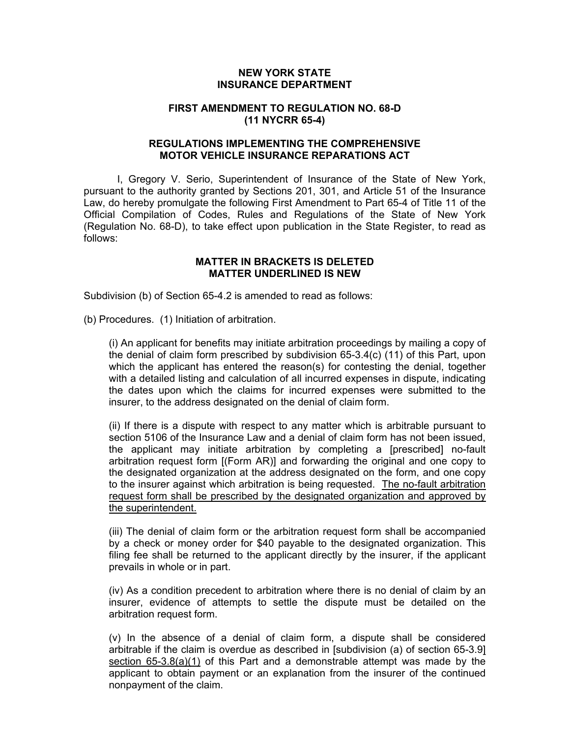# **NEW YORK STATE INSURANCE DEPARTMENT**

## **FIRST AMENDMENT TO REGULATION NO. 68-D (11 NYCRR 65-4)**

# **REGULATIONS IMPLEMENTING THE COMPREHENSIVE MOTOR VEHICLE INSURANCE REPARATIONS ACT**

I, Gregory V. Serio, Superintendent of Insurance of the State of New York, pursuant to the authority granted by Sections 201, 301, and Article 51 of the Insurance Law, do hereby promulgate the following First Amendment to Part 65-4 of Title 11 of the Official Compilation of Codes, Rules and Regulations of the State of New York (Regulation No. 68-D), to take effect upon publication in the State Register, to read as follows:

#### **MATTER IN BRACKETS IS DELETED MATTER UNDERLINED IS NEW**

Subdivision (b) of Section 65-4.2 is amended to read as follows:

(b) Procedures. (1) Initiation of arbitration.

(i) An applicant for benefits may initiate arbitration proceedings by mailing a copy of the denial of claim form prescribed by subdivision 65-3.4(c) (11) of this Part, upon which the applicant has entered the reason(s) for contesting the denial, together with a detailed listing and calculation of all incurred expenses in dispute, indicating the dates upon which the claims for incurred expenses were submitted to the insurer, to the address designated on the denial of claim form.

(ii) If there is a dispute with respect to any matter which is arbitrable pursuant to section 5106 of the Insurance Law and a denial of claim form has not been issued, the applicant may initiate arbitration by completing a [prescribed] no-fault arbitration request form [(Form AR)] and forwarding the original and one copy to the designated organization at the address designated on the form, and one copy to the insurer against which arbitration is being requested. The no-fault arbitration request form shall be prescribed by the designated organization and approved by the superintendent.

(iii) The denial of claim form or the arbitration request form shall be accompanied by a check or money order for \$40 payable to the designated organization. This filing fee shall be returned to the applicant directly by the insurer, if the applicant prevails in whole or in part.

(iv) As a condition precedent to arbitration where there is no denial of claim by an insurer, evidence of attempts to settle the dispute must be detailed on the arbitration request form.

(v) In the absence of a denial of claim form, a dispute shall be considered arbitrable if the claim is overdue as described in [subdivision (a) of section 65-3.9] section 65-3.8(a)(1) of this Part and a demonstrable attempt was made by the applicant to obtain payment or an explanation from the insurer of the continued nonpayment of the claim.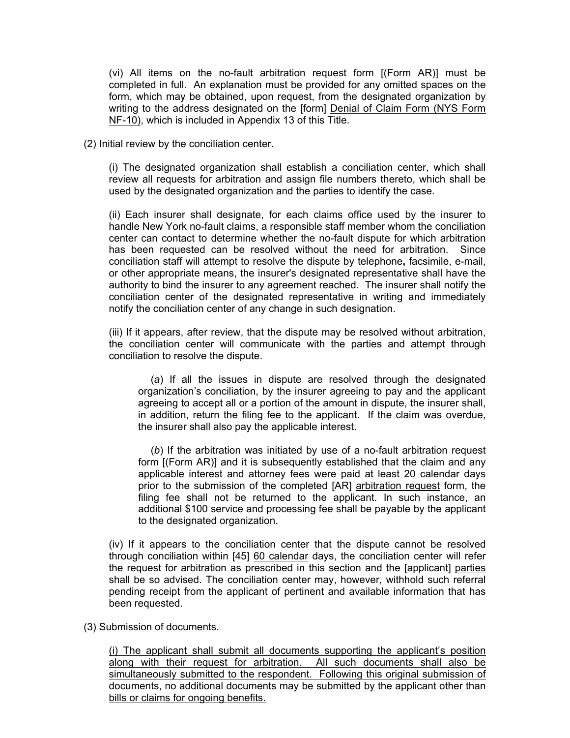(vi) All items on the no-fault arbitration request form [(Form AR)] must be completed in full. An explanation must be provided for any omitted spaces on the form, which may be obtained, upon request, from the designated organization by writing to the address designated on the [form] Denial of Claim Form (NYS Form NF-10), which is included in Appendix 13 of this Title.

(2) Initial review by the conciliation center.

(i) The designated organization shall establish a conciliation center, which shall review all requests for arbitration and assign file numbers thereto, which shall be used by the designated organization and the parties to identify the case.

(ii) Each insurer shall designate, for each claims office used by the insurer to handle New York no-fault claims, a responsible staff member whom the conciliation center can contact to determine whether the no-fault dispute for which arbitration has been requested can be resolved without the need for arbitration. Since conciliation staff will attempt to resolve the dispute by telephone**,** facsimile, e-mail, or other appropriate means, the insurer's designated representative shall have the authority to bind the insurer to any agreement reached. The insurer shall notify the conciliation center of the designated representative in writing and immediately notify the conciliation center of any change in such designation.

(iii) If it appears, after review, that the dispute may be resolved without arbitration, the conciliation center will communicate with the parties and attempt through conciliation to resolve the dispute.

(*a*) If all the issues in dispute are resolved through the designated organization's conciliation, by the insurer agreeing to pay and the applicant agreeing to accept all or a portion of the amount in dispute, the insurer shall, in addition, return the filing fee to the applicant. If the claim was overdue, the insurer shall also pay the applicable interest.

(*b*) If the arbitration was initiated by use of a no-fault arbitration request form [(Form AR)] and it is subsequently established that the claim and any applicable interest and attorney fees were paid at least 20 calendar days prior to the submission of the completed [AR] arbitration request form, the filing fee shall not be returned to the applicant. In such instance, an additional \$100 service and processing fee shall be payable by the applicant to the designated organization.

(iv) If it appears to the conciliation center that the dispute cannot be resolved through conciliation within [45] 60 calendar days, the conciliation center will refer the request for arbitration as prescribed in this section and the [applicant] parties shall be so advised. The conciliation center may, however, withhold such referral pending receipt from the applicant of pertinent and available information that has been requested.

### (3) Submission of documents.

(i) The applicant shall submit all documents supporting the applicant's position along with their request for arbitration. All such documents shall also be simultaneously submitted to the respondent. Following this original submission of documents, no additional documents may be submitted by the applicant other than bills or claims for ongoing benefits.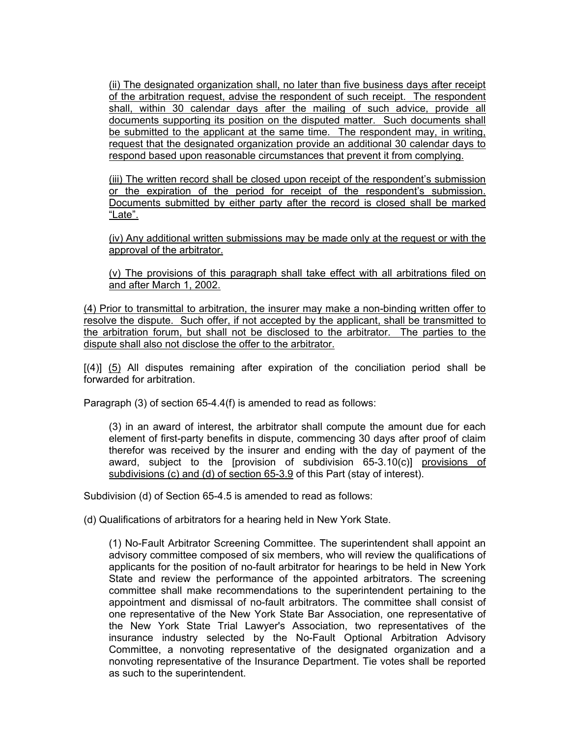(ii) The designated organization shall, no later than five business days after receipt of the arbitration request, advise the respondent of such receipt. The respondent shall, within 30 calendar days after the mailing of such advice, provide all documents supporting its position on the disputed matter. Such documents shall be submitted to the applicant at the same time. The respondent may, in writing, request that the designated organization provide an additional 30 calendar days to respond based upon reasonable circumstances that prevent it from complying.

(iii) The written record shall be closed upon receipt of the respondent's submission or the expiration of the period for receipt of the respondent's submission. Documents submitted by either party after the record is closed shall be marked "Late".

(iv) Any additional written submissions may be made only at the request or with the approval of the arbitrator.

(v) The provisions of this paragraph shall take effect with all arbitrations filed on and after March 1, 2002.

(4) Prior to transmittal to arbitration, the insurer may make a non-binding written offer to resolve the dispute. Such offer, if not accepted by the applicant, shall be transmitted to the arbitration forum, but shall not be disclosed to the arbitrator. The parties to the dispute shall also not disclose the offer to the arbitrator.

 $[(4)]$   $(5)$  All disputes remaining after expiration of the conciliation period shall be forwarded for arbitration.

Paragraph (3) of section 65-4.4(f) is amended to read as follows:

(3) in an award of interest, the arbitrator shall compute the amount due for each element of first-party benefits in dispute, commencing 30 days after proof of claim therefor was received by the insurer and ending with the day of payment of the award, subject to the [provision of subdivision 65-3.10(c)] provisions of subdivisions (c) and (d) of section 65-3.9 of this Part (stay of interest).

Subdivision (d) of Section 65-4.5 is amended to read as follows:

(d) Qualifications of arbitrators for a hearing held in New York State.

(1) No-Fault Arbitrator Screening Committee. The superintendent shall appoint an advisory committee composed of six members, who will review the qualifications of applicants for the position of no-fault arbitrator for hearings to be held in New York State and review the performance of the appointed arbitrators. The screening committee shall make recommendations to the superintendent pertaining to the appointment and dismissal of no-fault arbitrators. The committee shall consist of one representative of the New York State Bar Association, one representative of the New York State Trial Lawyer's Association, two representatives of the insurance industry selected by the No-Fault Optional Arbitration Advisory Committee, a nonvoting representative of the designated organization and a nonvoting representative of the Insurance Department. Tie votes shall be reported as such to the superintendent.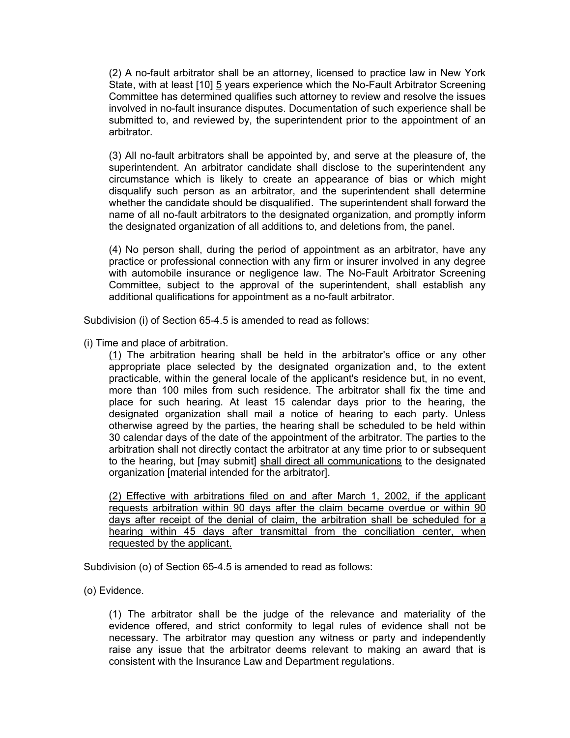(2) A no-fault arbitrator shall be an attorney, licensed to practice law in New York State, with at least [10] 5 years experience which the No-Fault Arbitrator Screening Committee has determined qualifies such attorney to review and resolve the issues involved in no-fault insurance disputes. Documentation of such experience shall be submitted to, and reviewed by, the superintendent prior to the appointment of an arbitrator.

(3) All no-fault arbitrators shall be appointed by, and serve at the pleasure of, the superintendent. An arbitrator candidate shall disclose to the superintendent any circumstance which is likely to create an appearance of bias or which might disqualify such person as an arbitrator, and the superintendent shall determine whether the candidate should be disqualified. The superintendent shall forward the name of all no-fault arbitrators to the designated organization, and promptly inform the designated organization of all additions to, and deletions from, the panel.

(4) No person shall, during the period of appointment as an arbitrator, have any practice or professional connection with any firm or insurer involved in any degree with automobile insurance or negligence law. The No-Fault Arbitrator Screening Committee, subject to the approval of the superintendent, shall establish any additional qualifications for appointment as a no-fault arbitrator.

Subdivision (i) of Section 65-4.5 is amended to read as follows:

(i) Time and place of arbitration.

(1) The arbitration hearing shall be held in the arbitrator's office or any other appropriate place selected by the designated organization and, to the extent practicable, within the general locale of the applicant's residence but, in no event, more than 100 miles from such residence. The arbitrator shall fix the time and place for such hearing. At least 15 calendar days prior to the hearing, the designated organization shall mail a notice of hearing to each party. Unless otherwise agreed by the parties, the hearing shall be scheduled to be held within 30 calendar days of the date of the appointment of the arbitrator. The parties to the arbitration shall not directly contact the arbitrator at any time prior to or subsequent to the hearing, but [may submit] shall direct all communications to the designated organization [material intended for the arbitrator].

(2) Effective with arbitrations filed on and after March 1, 2002, if the applicant requests arbitration within 90 days after the claim became overdue or within 90 days after receipt of the denial of claim, the arbitration shall be scheduled for a hearing within 45 days after transmittal from the conciliation center, when requested by the applicant.

Subdivision (o) of Section 65-4.5 is amended to read as follows:

(o) Evidence.

(1) The arbitrator shall be the judge of the relevance and materiality of the evidence offered, and strict conformity to legal rules of evidence shall not be necessary. The arbitrator may question any witness or party and independently raise any issue that the arbitrator deems relevant to making an award that is consistent with the Insurance Law and Department regulations.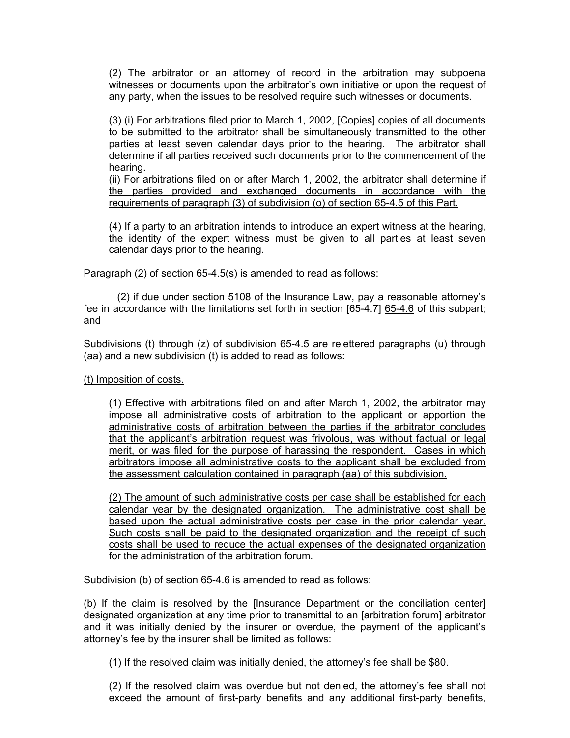(2) The arbitrator or an attorney of record in the arbitration may subpoena witnesses or documents upon the arbitrator's own initiative or upon the request of any party, when the issues to be resolved require such witnesses or documents.

(3) (i) For arbitrations filed prior to March 1, 2002, [Copies] copies of all documents to be submitted to the arbitrator shall be simultaneously transmitted to the other parties at least seven calendar days prior to the hearing. The arbitrator shall determine if all parties received such documents prior to the commencement of the hearing.

(ii) For arbitrations filed on or after March 1, 2002, the arbitrator shall determine if the parties provided and exchanged documents in accordance with the requirements of paragraph (3) of subdivision (o) of section 65-4.5 of this Part.

(4) If a party to an arbitration intends to introduce an expert witness at the hearing, the identity of the expert witness must be given to all parties at least seven calendar days prior to the hearing.

Paragraph (2) of section 65-4.5(s) is amended to read as follows:

(2) if due under section 5108 of the Insurance Law, pay a reasonable attorney's fee in accordance with the limitations set forth in section [65-4.7] 65-4.6 of this subpart; and

Subdivisions (t) through (z) of subdivision 65-4.5 are relettered paragraphs (u) through (aa) and a new subdivision (t) is added to read as follows:

### (t) Imposition of costs.

(1) Effective with arbitrations filed on and after March 1, 2002, the arbitrator may impose all administrative costs of arbitration to the applicant or apportion the administrative costs of arbitration between the parties if the arbitrator concludes that the applicant's arbitration request was frivolous, was without factual or legal merit, or was filed for the purpose of harassing the respondent. Cases in which arbitrators impose all administrative costs to the applicant shall be excluded from the assessment calculation contained in paragraph (aa) of this subdivision.

(2) The amount of such administrative costs per case shall be established for each calendar year by the designated organization. The administrative cost shall be based upon the actual administrative costs per case in the prior calendar year. Such costs shall be paid to the designated organization and the receipt of such costs shall be used to reduce the actual expenses of the designated organization for the administration of the arbitration forum.

Subdivision (b) of section 65-4.6 is amended to read as follows:

(b) If the claim is resolved by the [Insurance Department or the conciliation center] designated organization at any time prior to transmittal to an [arbitration forum] arbitrator and it was initially denied by the insurer or overdue, the payment of the applicant's attorney's fee by the insurer shall be limited as follows:

(1) If the resolved claim was initially denied, the attorney's fee shall be \$80.

(2) If the resolved claim was overdue but not denied, the attorney's fee shall not exceed the amount of first-party benefits and any additional first-party benefits,